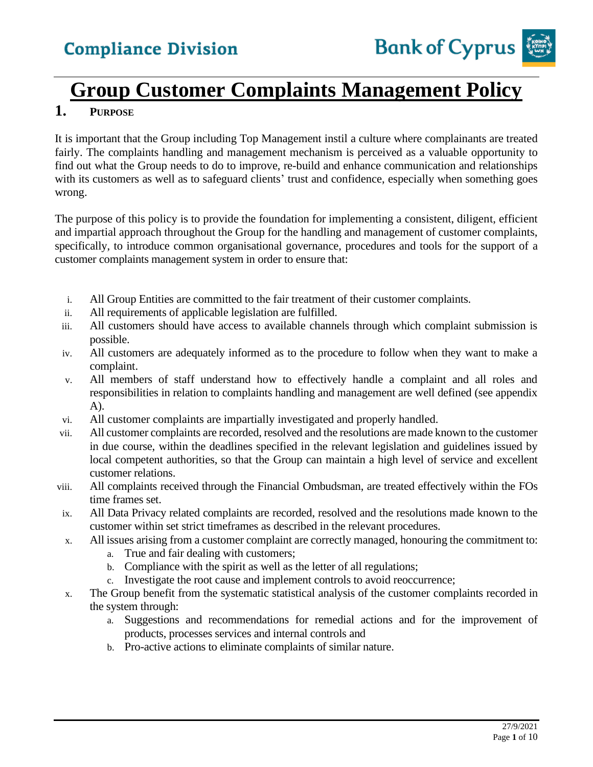

# **Group Customer Complaints Management Policy**

#### **1. PURPOSE**

It is important that the Group including Top Management instil a culture where complainants are treated fairly. The complaints handling and management mechanism is perceived as a valuable opportunity to find out what the Group needs to do to improve, re-build and enhance communication and relationships with its customers as well as to safeguard clients' trust and confidence, especially when something goes wrong.

The purpose of this policy is to provide the foundation for implementing a consistent, diligent, efficient and impartial approach throughout the Group for the handling and management of customer complaints, specifically, to introduce common organisational governance, procedures and tools for the support of a customer complaints management system in order to ensure that:

- i. All Group Entities are committed to the fair treatment of their customer complaints.
- ii. All requirements of applicable legislation are fulfilled.
- iii. All customers should have access to available channels through which complaint submission is possible.
- iv. All customers are adequately informed as to the procedure to follow when they want to make a complaint.
- v. All members of staff understand how to effectively handle a complaint and all roles and responsibilities in relation to complaints handling and management are well defined (see appendix A).
- vi. All customer complaints are impartially investigated and properly handled.
- vii. All customer complaints are recorded, resolved and the resolutions are made known to the customer in due course, within the deadlines specified in the relevant legislation and guidelines issued by local competent authorities, so that the Group can maintain a high level of service and excellent customer relations.
- viii. All complaints received through the Financial Ombudsman, are treated effectively within the FOs time frames set.
- ix. All Data Privacy related complaints are recorded, resolved and the resolutions made known to the customer within set strict timeframes as described in the relevant procedures.
- x. All issues arising from a customer complaint are correctly managed, honouring the commitment to:
	- a. True and fair dealing with customers;
	- b. Compliance with the spirit as well as the letter of all regulations;
	- c. Investigate the root cause and implement controls to avoid reoccurrence;
- x. The Group benefit from the systematic statistical analysis of the customer complaints recorded in the system through:
	- a. Suggestions and recommendations for remedial actions and for the improvement of products, processes services and internal controls and
	- b. Pro-active actions to eliminate complaints of similar nature.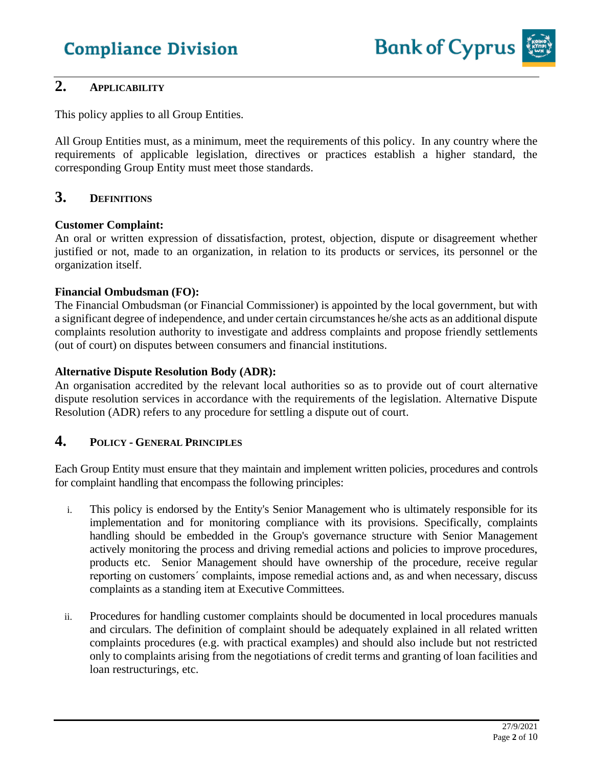

#### **2. APPLICABILITY**

This policy applies to all Group Entities.

All Group Entities must, as a minimum, meet the requirements of this policy. In any country where the requirements of applicable legislation, directives or practices establish a higher standard, the corresponding Group Entity must meet those standards.

#### **3. DEFINITIONS**

#### **Customer Complaint:**

An oral or written expression of dissatisfaction, protest, objection, dispute or disagreement whether justified or not, made to an organization, in relation to its products or services, its personnel or the organization itself.

#### **Financial Ombudsman (FO):**

The Financial Ombudsman (or Financial Commissioner) is appointed by the local government, but with a significant degree of independence, and under certain circumstances he/she acts as an additional dispute complaints resolution authority to investigate and address complaints and propose friendly settlements (out of court) on disputes between consumers and financial institutions.

#### **Alternative Dispute Resolution Body (ADR):**

An organisation accredited by the relevant local authorities so as to provide out of court alternative dispute resolution services in accordance with the requirements of the legislation. Alternative Dispute Resolution (ADR) refers to any procedure for settling a dispute out of court.

#### **4. POLICY - GENERAL PRINCIPLES**

Each Group Entity must ensure that they maintain and implement written policies, procedures and controls for complaint handling that encompass the following principles:

- i. This policy is endorsed by the Entity's Senior Management who is ultimately responsible for its implementation and for monitoring compliance with its provisions. Specifically, complaints handling should be embedded in the Group's governance structure with Senior Management actively monitoring the process and driving remedial actions and policies to improve procedures, products etc. Senior Management should have ownership of the procedure, receive regular reporting on customers´ complaints, impose remedial actions and, as and when necessary, discuss complaints as a standing item at Executive Committees.
- ii. Procedures for handling customer complaints should be documented in local procedures manuals and circulars. The definition of complaint should be adequately explained in all related written complaints procedures (e.g. with practical examples) and should also include but not restricted only to complaints arising from the negotiations of credit terms and granting of loan facilities and loan restructurings, etc.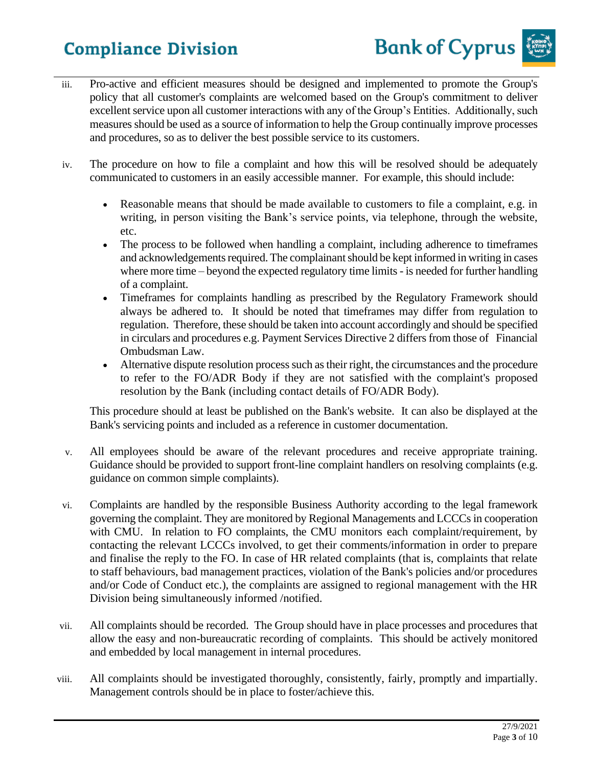

- iii. Pro-active and efficient measures should be designed and implemented to promote the Group's policy that all customer's complaints are welcomed based on the Group's commitment to deliver excellent service upon all customer interactions with any of the Group's Entities. Additionally, such measures should be used as a source of information to help the Group continually improve processes and procedures, so as to deliver the best possible service to its customers.
- iv. The procedure on how to file a complaint and how this will be resolved should be adequately communicated to customers in an easily accessible manner. For example, this should include:
	- Reasonable means that should be made available to customers to file a complaint, e.g. in writing, in person visiting the Bank's service points, via telephone, through the website, etc.
	- The process to be followed when handling a complaint, including adherence to timeframes and acknowledgements required. The complainant should be kept informed in writing in cases where more time – beyond the expected regulatory time limits - is needed for further handling of a complaint.
	- Timeframes for complaints handling as prescribed by the Regulatory Framework should always be adhered to. It should be noted that timeframes may differ from regulation to regulation. Therefore, these should be taken into account accordingly and should be specified in circulars and procedures e.g. Payment Services Directive 2 differs from those of Financial Ombudsman Law.
	- Alternative dispute resolution process such as their right, the circumstances and the procedure to refer to the FO/ADR Body if they are not satisfied with the complaint's proposed resolution by the Bank (including contact details of FO/ADR Body).

This procedure should at least be published on the Bank's website. It can also be displayed at the Bank's servicing points and included as a reference in customer documentation.

- v. All employees should be aware of the relevant procedures and receive appropriate training. Guidance should be provided to support front-line complaint handlers on resolving complaints (e.g. guidance on common simple complaints).
- vi. Complaints are handled by the responsible Business Authority according to the legal framework governing the complaint. They are monitored by Regional Managements and LCCCs in cooperation with CMU. In relation to FO complaints, the CMU monitors each complaint/requirement, by contacting the relevant LCCCs involved, to get their comments/information in order to prepare and finalise the reply to the FO. In case of HR related complaints (that is, complaints that relate to staff behaviours, bad management practices, violation of the Bank's policies and/or procedures and/or Code of Conduct etc.), the complaints are assigned to regional management with the HR Division being simultaneously informed /notified.
- vii. All complaints should be recorded. The Group should have in place processes and procedures that allow the easy and non-bureaucratic recording of complaints. This should be actively monitored and embedded by local management in internal procedures.
- viii. All complaints should be investigated thoroughly, consistently, fairly, promptly and impartially. Management controls should be in place to foster/achieve this.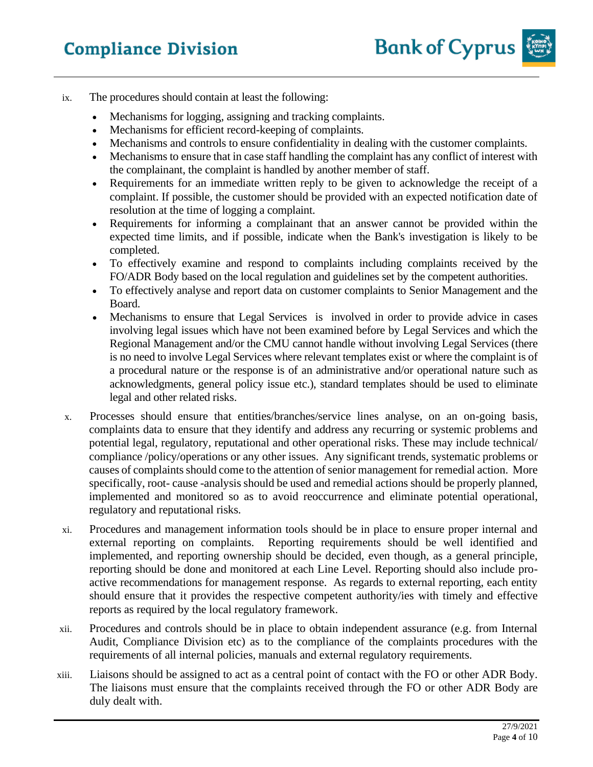

- ix. The procedures should contain at least the following:
	- Mechanisms for logging, assigning and tracking complaints.
	- Mechanisms for efficient record-keeping of complaints.
	- Mechanisms and controls to ensure confidentiality in dealing with the customer complaints.
	- Mechanisms to ensure that in case staff handling the complaint has any conflict of interest with the complainant, the complaint is handled by another member of staff.
	- Requirements for an immediate written reply to be given to acknowledge the receipt of a complaint. If possible, the customer should be provided with an expected notification date of resolution at the time of logging a complaint.
	- Requirements for informing a complainant that an answer cannot be provided within the expected time limits, and if possible, indicate when the Bank's investigation is likely to be completed.
	- To effectively examine and respond to complaints including complaints received by the FO/ADR Body based on the local regulation and guidelines set by the competent authorities.
	- To effectively analyse and report data on customer complaints to Senior Management and the Board.
	- Mechanisms to ensure that Legal Services is involved in order to provide advice in cases involving legal issues which have not been examined before by Legal Services and which the Regional Management and/or the CMU cannot handle without involving Legal Services (there is no need to involve Legal Services where relevant templates exist or where the complaint is of a procedural nature or the response is of an administrative and/or operational nature such as acknowledgments, general policy issue etc.), standard templates should be used to eliminate legal and other related risks.
- x. Processes should ensure that entities/branches/service lines analyse, on an on-going basis, complaints data to ensure that they identify and address any recurring or systemic problems and potential legal, regulatory, reputational and other operational risks. These may include technical/ compliance /policy/operations or any other issues. Any significant trends, systematic problems or causes of complaints should come to the attention of senior management for remedial action. More specifically, root- cause -analysis should be used and remedial actions should be properly planned, implemented and monitored so as to avoid reoccurrence and eliminate potential operational, regulatory and reputational risks.
- xi. Procedures and management information tools should be in place to ensure proper internal and external reporting on complaints. Reporting requirements should be well identified and implemented, and reporting ownership should be decided, even though, as a general principle, reporting should be done and monitored at each Line Level. Reporting should also include proactive recommendations for management response. As regards to external reporting, each entity should ensure that it provides the respective competent authority/ies with timely and effective reports as required by the local regulatory framework.
- xii. Procedures and controls should be in place to obtain independent assurance (e.g. from Internal Audit, Compliance Division etc) as to the compliance of the complaints procedures with the requirements of all internal policies, manuals and external regulatory requirements.
- xiii. Liaisons should be assigned to act as a central point of contact with the FO or other ADR Body. The liaisons must ensure that the complaints received through the FO or other ADR Body are duly dealt with.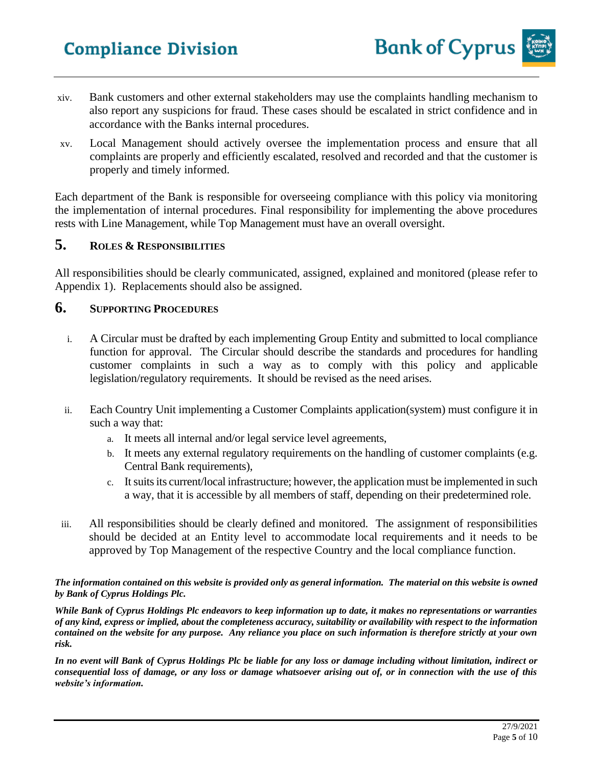- xiv. Bank customers and other external stakeholders may use the complaints handling mechanism to also report any suspicions for fraud. These cases should be escalated in strict confidence and in accordance with the Banks internal procedures.
- xv. Local Management should actively oversee the implementation process and ensure that all complaints are properly and efficiently escalated, resolved and recorded and that the customer is properly and timely informed.

Each department of the Bank is responsible for overseeing compliance with this policy via monitoring the implementation of internal procedures. Final responsibility for implementing the above procedures rests with Line Management, while Top Management must have an overall oversight.

#### **5. ROLES & RESPONSIBILITIES**

All responsibilities should be clearly communicated, assigned, explained and monitored (please refer to Appendix 1). Replacements should also be assigned.

#### **6. SUPPORTING PROCEDURES**

- i. A Circular must be drafted by each implementing Group Entity and submitted to local compliance function for approval. The Circular should describe the standards and procedures for handling customer complaints in such a way as to comply with this policy and applicable legislation/regulatory requirements. It should be revised as the need arises.
- ii. Each Country Unit implementing a Customer Complaints application(system) must configure it in such a way that:
	- a. It meets all internal and/or legal service level agreements,
	- b. It meets any external regulatory requirements on the handling of customer complaints (e.g. Central Bank requirements),
	- c. It suits its current/local infrastructure; however, the application must be implemented in such a way, that it is accessible by all members of staff, depending on their predetermined role.
- iii. All responsibilities should be clearly defined and monitored. The assignment of responsibilities should be decided at an Entity level to accommodate local requirements and it needs to be approved by Top Management of the respective Country and the local compliance function.

#### *The information contained on this website is provided only as general information. The material on this website is owned by Bank of Cyprus Holdings Plc.*

*While Bank of Cyprus Holdings Plc endeavors to keep information up to date, it makes no representations or warranties of any kind, express or implied, about the completeness accuracy, suitability or availability with respect to the information contained on the website for any purpose. Any reliance you place on such information is therefore strictly at your own risk.* 

*In no event will Bank of Cyprus Holdings Plc be liable for any loss or damage including without limitation, indirect or consequential loss of damage, or any loss or damage whatsoever arising out of, or in connection with the use of this website's information.*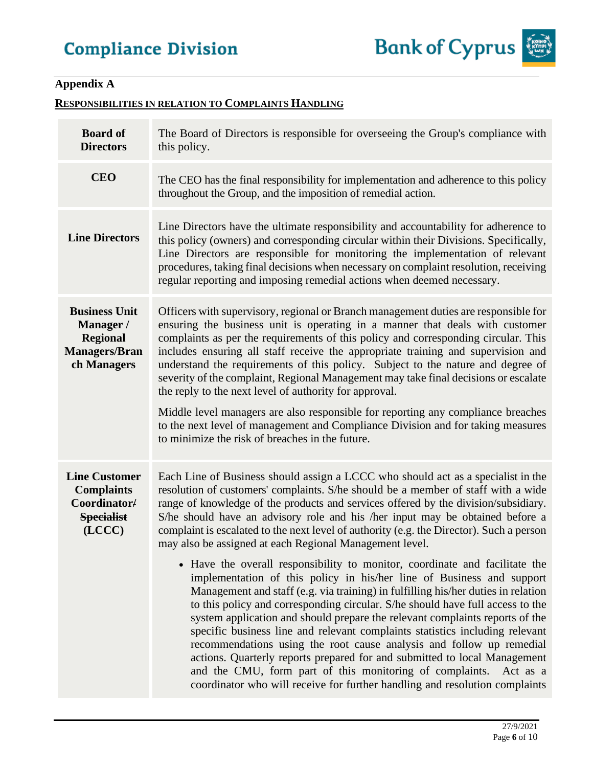### **Appendix A**

#### **RESPONSIBILITIES IN RELATION TO COMPLAINTS HANDLING**

| <b>Board of</b><br><b>Directors</b>                                                         | The Board of Directors is responsible for overseeing the Group's compliance with<br>this policy.                                                                                                                                                                                                                                                                                                                                                                                                                                                                                                                                                                                                                                                                                                                                                                                                                                                                                                                                                                                                                                                                                                                                                                                                             |
|---------------------------------------------------------------------------------------------|--------------------------------------------------------------------------------------------------------------------------------------------------------------------------------------------------------------------------------------------------------------------------------------------------------------------------------------------------------------------------------------------------------------------------------------------------------------------------------------------------------------------------------------------------------------------------------------------------------------------------------------------------------------------------------------------------------------------------------------------------------------------------------------------------------------------------------------------------------------------------------------------------------------------------------------------------------------------------------------------------------------------------------------------------------------------------------------------------------------------------------------------------------------------------------------------------------------------------------------------------------------------------------------------------------------|
| <b>CEO</b>                                                                                  | The CEO has the final responsibility for implementation and adherence to this policy<br>throughout the Group, and the imposition of remedial action.                                                                                                                                                                                                                                                                                                                                                                                                                                                                                                                                                                                                                                                                                                                                                                                                                                                                                                                                                                                                                                                                                                                                                         |
| <b>Line Directors</b>                                                                       | Line Directors have the ultimate responsibility and accountability for adherence to<br>this policy (owners) and corresponding circular within their Divisions. Specifically,<br>Line Directors are responsible for monitoring the implementation of relevant<br>procedures, taking final decisions when necessary on complaint resolution, receiving<br>regular reporting and imposing remedial actions when deemed necessary.                                                                                                                                                                                                                                                                                                                                                                                                                                                                                                                                                                                                                                                                                                                                                                                                                                                                               |
| <b>Business Unit</b><br>Manager /<br><b>Regional</b><br><b>Managers/Bran</b><br>ch Managers | Officers with supervisory, regional or Branch management duties are responsible for<br>ensuring the business unit is operating in a manner that deals with customer<br>complaints as per the requirements of this policy and corresponding circular. This<br>includes ensuring all staff receive the appropriate training and supervision and<br>understand the requirements of this policy. Subject to the nature and degree of<br>severity of the complaint, Regional Management may take final decisions or escalate<br>the reply to the next level of authority for approval.<br>Middle level managers are also responsible for reporting any compliance breaches<br>to the next level of management and Compliance Division and for taking measures<br>to minimize the risk of breaches in the future.                                                                                                                                                                                                                                                                                                                                                                                                                                                                                                  |
| <b>Line Customer</b><br><b>Complaints</b><br>Coordinator/<br><b>Specialist</b><br>(LCCC)    | Each Line of Business should assign a LCCC who should act as a specialist in the<br>resolution of customers' complaints. S/he should be a member of staff with a wide<br>range of knowledge of the products and services offered by the division/subsidiary.<br>S/he should have an advisory role and his /her input may be obtained before a<br>complaint is escalated to the next level of authority (e.g. the Director). Such a person<br>may also be assigned at each Regional Management level.<br>• Have the overall responsibility to monitor, coordinate and facilitate the<br>implementation of this policy in his/her line of Business and support<br>Management and staff (e.g. via training) in fulfilling his/her duties in relation<br>to this policy and corresponding circular. S/he should have full access to the<br>system application and should prepare the relevant complaints reports of the<br>specific business line and relevant complaints statistics including relevant<br>recommendations using the root cause analysis and follow up remedial<br>actions. Quarterly reports prepared for and submitted to local Management<br>and the CMU, form part of this monitoring of complaints. Act as a<br>coordinator who will receive for further handling and resolution complaints |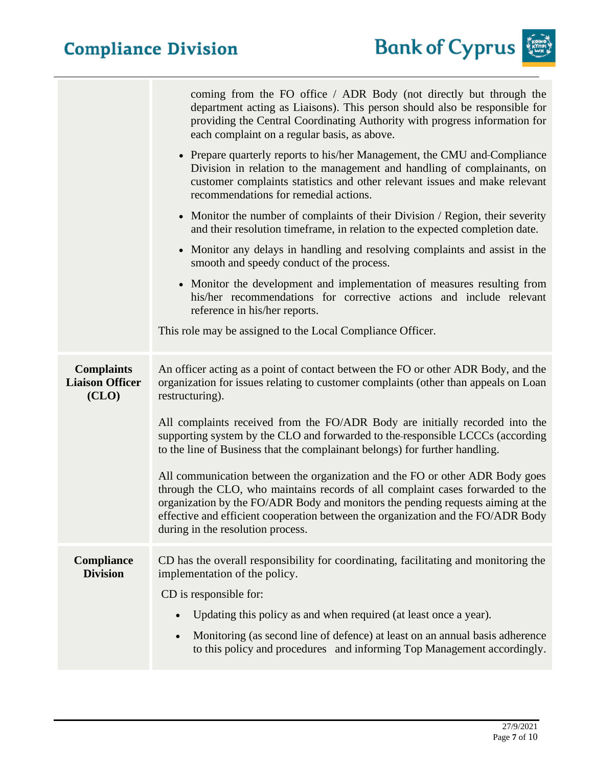

|                                                      | coming from the FO office / ADR Body (not directly but through the<br>department acting as Liaisons). This person should also be responsible for<br>providing the Central Coordinating Authority with progress information for<br>each complaint on a regular basis, as above.<br>• Prepare quarterly reports to his/her Management, the CMU and Compliance<br>Division in relation to the management and handling of complainants, on<br>customer complaints statistics and other relevant issues and make relevant<br>recommendations for remedial actions.<br>• Monitor the number of complaints of their Division / Region, their severity<br>and their resolution timeframe, in relation to the expected completion date.<br>• Monitor any delays in handling and resolving complaints and assist in the<br>smooth and speedy conduct of the process.<br>• Monitor the development and implementation of measures resulting from<br>his/her recommendations for corrective actions and include relevant<br>reference in his/her reports.<br>This role may be assigned to the Local Compliance Officer. |
|------------------------------------------------------|-------------------------------------------------------------------------------------------------------------------------------------------------------------------------------------------------------------------------------------------------------------------------------------------------------------------------------------------------------------------------------------------------------------------------------------------------------------------------------------------------------------------------------------------------------------------------------------------------------------------------------------------------------------------------------------------------------------------------------------------------------------------------------------------------------------------------------------------------------------------------------------------------------------------------------------------------------------------------------------------------------------------------------------------------------------------------------------------------------------|
| <b>Complaints</b><br><b>Liaison Officer</b><br>(CLO) | An officer acting as a point of contact between the FO or other ADR Body, and the<br>organization for issues relating to customer complaints (other than appeals on Loan<br>restructuring).<br>All complaints received from the FO/ADR Body are initially recorded into the<br>supporting system by the CLO and forwarded to the responsible LCCCs (according<br>to the line of Business that the complainant belongs) for further handling.<br>All communication between the organization and the FO or other ADR Body goes<br>through the CLO, who maintains records of all complaint cases forwarded to the<br>organization by the FO/ADR Body and monitors the pending requests aiming at the<br>effective and efficient cooperation between the organization and the FO/ADR Body<br>during in the resolution process.                                                                                                                                                                                                                                                                                  |
| <b>Compliance</b><br><b>Division</b>                 | CD has the overall responsibility for coordinating, facilitating and monitoring the<br>implementation of the policy.<br>CD is responsible for:<br>Updating this policy as and when required (at least once a year).<br>Monitoring (as second line of defence) at least on an annual basis adherence<br>to this policy and procedures and informing Top Management accordingly.                                                                                                                                                                                                                                                                                                                                                                                                                                                                                                                                                                                                                                                                                                                              |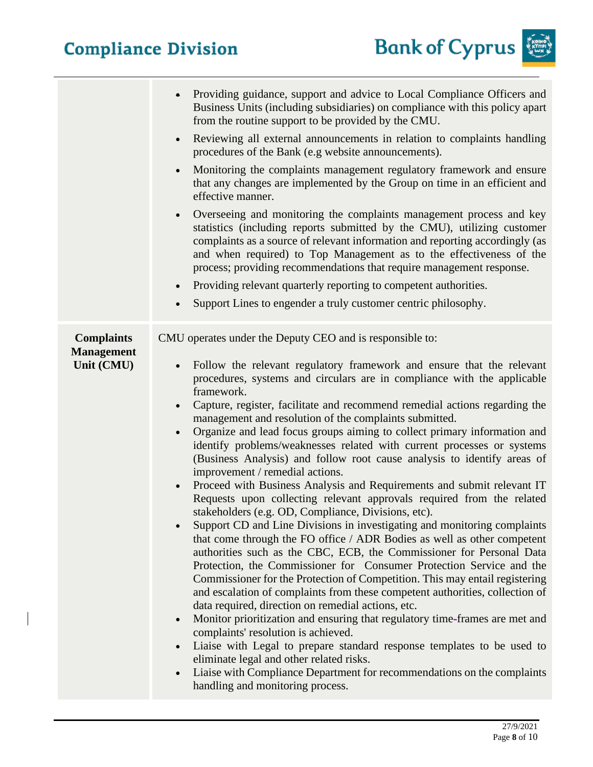$\overline{\phantom{a}}$ 



|                                                      | Providing guidance, support and advice to Local Compliance Officers and<br>$\bullet$<br>Business Units (including subsidiaries) on compliance with this policy apart<br>from the routine support to be provided by the CMU.<br>Reviewing all external announcements in relation to complaints handling<br>$\bullet$<br>procedures of the Bank (e.g website announcements).<br>Monitoring the complaints management regulatory framework and ensure<br>that any changes are implemented by the Group on time in an efficient and<br>effective manner.<br>Overseeing and monitoring the complaints management process and key<br>$\bullet$<br>statistics (including reports submitted by the CMU), utilizing customer<br>complaints as a source of relevant information and reporting accordingly (as<br>and when required) to Top Management as to the effectiveness of the<br>process; providing recommendations that require management response.<br>Providing relevant quarterly reporting to competent authorities.<br>$\bullet$<br>Support Lines to engender a truly customer centric philosophy.<br>$\bullet$                                                                                                                                                                                                                                                                                                                                                                                                                                                                                                                                                                                                                                                                                                    |
|------------------------------------------------------|-----------------------------------------------------------------------------------------------------------------------------------------------------------------------------------------------------------------------------------------------------------------------------------------------------------------------------------------------------------------------------------------------------------------------------------------------------------------------------------------------------------------------------------------------------------------------------------------------------------------------------------------------------------------------------------------------------------------------------------------------------------------------------------------------------------------------------------------------------------------------------------------------------------------------------------------------------------------------------------------------------------------------------------------------------------------------------------------------------------------------------------------------------------------------------------------------------------------------------------------------------------------------------------------------------------------------------------------------------------------------------------------------------------------------------------------------------------------------------------------------------------------------------------------------------------------------------------------------------------------------------------------------------------------------------------------------------------------------------------------------------------------------------------------------------------------------|
| <b>Complaints</b><br><b>Management</b><br>Unit (CMU) | CMU operates under the Deputy CEO and is responsible to:<br>Follow the relevant regulatory framework and ensure that the relevant<br>$\bullet$<br>procedures, systems and circulars are in compliance with the applicable<br>framework.<br>Capture, register, facilitate and recommend remedial actions regarding the<br>management and resolution of the complaints submitted.<br>Organize and lead focus groups aiming to collect primary information and<br>$\bullet$<br>identify problems/weaknesses related with current processes or systems<br>(Business Analysis) and follow root cause analysis to identify areas of<br>improvement / remedial actions.<br>Proceed with Business Analysis and Requirements and submit relevant IT<br>$\bullet$<br>Requests upon collecting relevant approvals required from the related<br>stakeholders (e.g. OD, Compliance, Divisions, etc).<br>Support CD and Line Divisions in investigating and monitoring complaints<br>that come through the FO office / ADR Bodies as well as other competent<br>authorities such as the CBC, ECB, the Commissioner for Personal Data<br>Protection, the Commissioner for Consumer Protection Service and the<br>Commissioner for the Protection of Competition. This may entail registering<br>and escalation of complaints from these competent authorities, collection of<br>data required, direction on remedial actions, etc.<br>Monitor prioritization and ensuring that regulatory time-frames are met and<br>$\bullet$<br>complaints' resolution is achieved.<br>Liaise with Legal to prepare standard response templates to be used to<br>$\bullet$<br>eliminate legal and other related risks.<br>Liaise with Compliance Department for recommendations on the complaints<br>$\bullet$<br>handling and monitoring process. |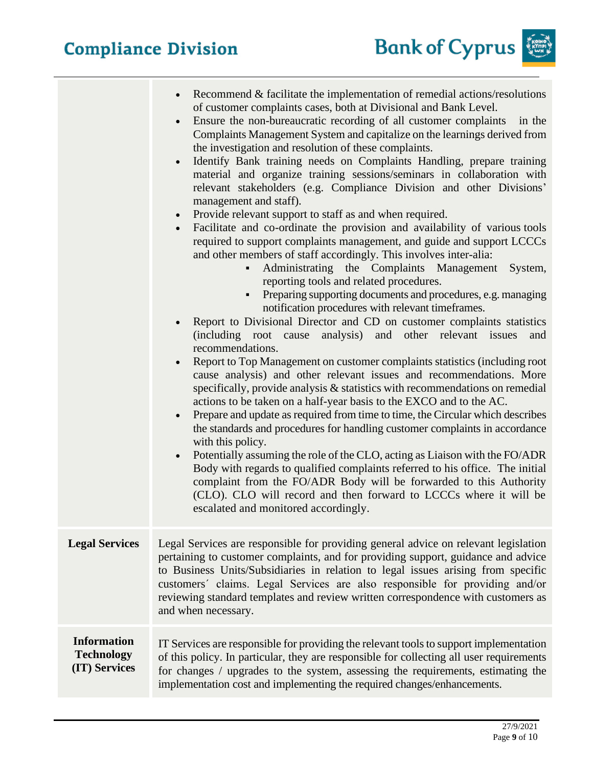

|                                                          | Recommend $&$ facilitate the implementation of remedial actions/resolutions<br>of customer complaints cases, both at Divisional and Bank Level.<br>Ensure the non-bureaucratic recording of all customer complaints<br>in the<br>Complaints Management System and capitalize on the learnings derived from<br>the investigation and resolution of these complaints.<br>Identify Bank training needs on Complaints Handling, prepare training<br>material and organize training sessions/seminars in collaboration with<br>relevant stakeholders (e.g. Compliance Division and other Divisions'<br>management and staff).<br>Provide relevant support to staff as and when required.<br>$\bullet$<br>Facilitate and co-ordinate the provision and availability of various tools<br>required to support complaints management, and guide and support LCCCs<br>and other members of staff accordingly. This involves inter-alia:<br>Administrating the Complaints Management<br>System,<br>$\blacksquare$<br>reporting tools and related procedures.<br>Preparing supporting documents and procedures, e.g. managing<br>notification procedures with relevant timeframes.<br>Report to Divisional Director and CD on customer complaints statistics<br>(including root cause analysis) and other relevant issues<br>and<br>recommendations.<br>Report to Top Management on customer complaints statistics (including root<br>cause analysis) and other relevant issues and recommendations. More<br>specifically, provide analysis & statistics with recommendations on remedial<br>actions to be taken on a half-year basis to the EXCO and to the AC.<br>Prepare and update as required from time to time, the Circular which describes<br>$\bullet$<br>the standards and procedures for handling customer complaints in accordance<br>with this policy.<br>Potentially assuming the role of the CLO, acting as Liaison with the FO/ADR<br>Body with regards to qualified complaints referred to his office. The initial<br>complaint from the FO/ADR Body will be forwarded to this Authority<br>(CLO). CLO will record and then forward to LCCCs where it will be<br>escalated and monitored accordingly. |
|----------------------------------------------------------|------------------------------------------------------------------------------------------------------------------------------------------------------------------------------------------------------------------------------------------------------------------------------------------------------------------------------------------------------------------------------------------------------------------------------------------------------------------------------------------------------------------------------------------------------------------------------------------------------------------------------------------------------------------------------------------------------------------------------------------------------------------------------------------------------------------------------------------------------------------------------------------------------------------------------------------------------------------------------------------------------------------------------------------------------------------------------------------------------------------------------------------------------------------------------------------------------------------------------------------------------------------------------------------------------------------------------------------------------------------------------------------------------------------------------------------------------------------------------------------------------------------------------------------------------------------------------------------------------------------------------------------------------------------------------------------------------------------------------------------------------------------------------------------------------------------------------------------------------------------------------------------------------------------------------------------------------------------------------------------------------------------------------------------------------------------------------------------------------------------------------------------------------------------------------------------------------------|
| <b>Legal Services</b>                                    | Legal Services are responsible for providing general advice on relevant legislation<br>pertaining to customer complaints, and for providing support, guidance and advice<br>to Business Units/Subsidiaries in relation to legal issues arising from specific<br>customers' claims. Legal Services are also responsible for providing and/or<br>reviewing standard templates and review written correspondence with customers as<br>and when necessary.                                                                                                                                                                                                                                                                                                                                                                                                                                                                                                                                                                                                                                                                                                                                                                                                                                                                                                                                                                                                                                                                                                                                                                                                                                                                                                                                                                                                                                                                                                                                                                                                                                                                                                                                                     |
| <b>Information</b><br><b>Technology</b><br>(IT) Services | IT Services are responsible for providing the relevant tools to support implementation<br>of this policy. In particular, they are responsible for collecting all user requirements<br>for changes / upgrades to the system, assessing the requirements, estimating the<br>implementation cost and implementing the required changes/enhancements.                                                                                                                                                                                                                                                                                                                                                                                                                                                                                                                                                                                                                                                                                                                                                                                                                                                                                                                                                                                                                                                                                                                                                                                                                                                                                                                                                                                                                                                                                                                                                                                                                                                                                                                                                                                                                                                          |